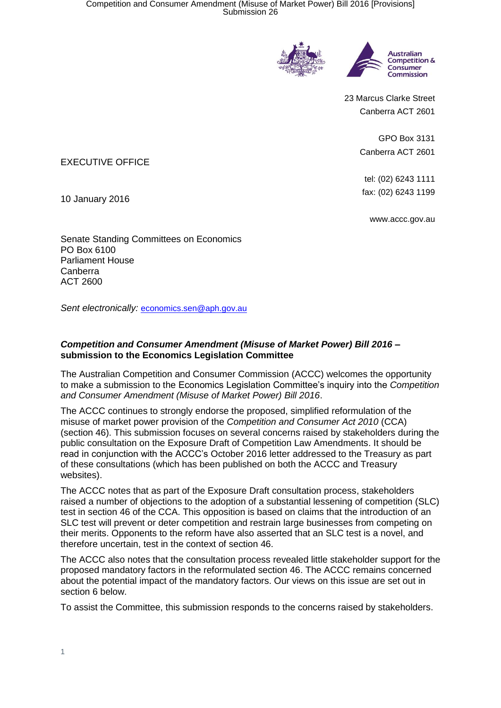



23 Marcus Clarke Street Canberra ACT 2601

> GPO Box 3131 Canberra ACT 2601

tel: (02) 6243 1111 fax: (02) 6243 1199

www.accc.gov.au

EXECUTIVE OFFICE

10 January 2016

Senate Standing Committees on Economics PO Box 6100 Parliament House Canberra ACT 2600

*Sent electronically:* [economics.sen@aph.gov.au](mailto:economics.sen@aph.gov.au)

## *Competition and Consumer Amendment (Misuse of Market Power) Bill 2016* **– submission to the Economics Legislation Committee**

The Australian Competition and Consumer Commission (ACCC) welcomes the opportunity to make a submission to the Economics Legislation Committee's inquiry into the *Competition and Consumer Amendment (Misuse of Market Power) Bill 2016*.

The ACCC continues to strongly endorse the proposed, simplified reformulation of the misuse of market power provision of the *Competition and Consumer Act 2010* (CCA) (section 46). This submission focuses on several concerns raised by stakeholders during the public consultation on the Exposure Draft of Competition Law Amendments. It should be read in conjunction with the ACCC's October 2016 letter addressed to the Treasury as part of these consultations (which has been published on both the ACCC and Treasury websites).

The ACCC notes that as part of the Exposure Draft consultation process, stakeholders raised a number of objections to the adoption of a substantial lessening of competition (SLC) test in section 46 of the CCA. This opposition is based on claims that the introduction of an SLC test will prevent or deter competition and restrain large businesses from competing on their merits. Opponents to the reform have also asserted that an SLC test is a novel, and therefore uncertain, test in the context of section 46.

The ACCC also notes that the consultation process revealed little stakeholder support for the proposed mandatory factors in the reformulated section 46. The ACCC remains concerned about the potential impact of the mandatory factors. Our views on this issue are set out in section 6 below.

To assist the Committee, this submission responds to the concerns raised by stakeholders.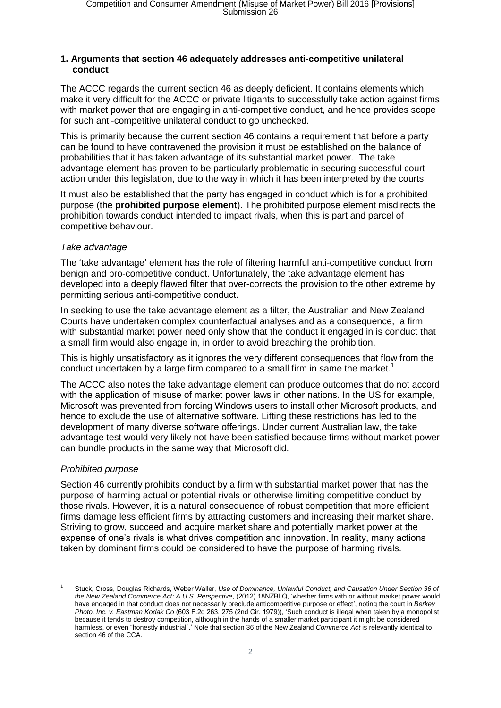#### **1. Arguments that section 46 adequately addresses anti-competitive unilateral conduct**

The ACCC regards the current section 46 as deeply deficient. It contains elements which make it very difficult for the ACCC or private litigants to successfully take action against firms with market power that are engaging in anti-competitive conduct, and hence provides scope for such anti-competitive unilateral conduct to go unchecked.

This is primarily because the current section 46 contains a requirement that before a party can be found to have contravened the provision it must be established on the balance of probabilities that it has taken advantage of its substantial market power. The take advantage element has proven to be particularly problematic in securing successful court action under this legislation, due to the way in which it has been interpreted by the courts.

It must also be established that the party has engaged in conduct which is for a prohibited purpose (the **prohibited purpose element**). The prohibited purpose element misdirects the prohibition towards conduct intended to impact rivals, when this is part and parcel of competitive behaviour.

#### *Take advantage*

The 'take advantage' element has the role of filtering harmful anti-competitive conduct from benign and pro-competitive conduct. Unfortunately, the take advantage element has developed into a deeply flawed filter that over-corrects the provision to the other extreme by permitting serious anti-competitive conduct.

In seeking to use the take advantage element as a filter, the Australian and New Zealand Courts have undertaken complex counterfactual analyses and as a consequence, a firm with substantial market power need only show that the conduct it engaged in is conduct that a small firm would also engage in, in order to avoid breaching the prohibition.

This is highly unsatisfactory as it ignores the very different consequences that flow from the conduct undertaken by a large firm compared to a small firm in same the market.<sup>1</sup>

The ACCC also notes the take advantage element can produce outcomes that do not accord with the application of misuse of market power laws in other nations. In the US for example, Microsoft was prevented from forcing Windows users to install other Microsoft products, and hence to exclude the use of alternative software. Lifting these restrictions has led to the development of many diverse software offerings. Under current Australian law, the take advantage test would very likely not have been satisfied because firms without market power can bundle products in the same way that Microsoft did.

#### *Prohibited purpose*

Section 46 currently prohibits conduct by a firm with substantial market power that has the purpose of harming actual or potential rivals or otherwise limiting competitive conduct by those rivals. However, it is a natural consequence of robust competition that more efficient firms damage less efficient firms by attracting customers and increasing their market share. Striving to grow, succeed and acquire market share and potentially market power at the expense of one's rivals is what drives competition and innovation. In reality, many actions taken by dominant firms could be considered to have the purpose of harming rivals.

<sup>-</sup><sup>1</sup> Stuck, Cross, Douglas Richards, Weber Waller, *Use of Dominance, Unlawful Conduct, and Causation Under Section 36 of the New Zealand Commerce Act: A U.S. Perspective*, (2012) 18NZBLQ, 'whether firms with or without market power would have engaged in that conduct does not necessarily preclude anticompetitive purpose or effect', noting the court in *Berkey Photo, Inc. v. Eastman Kodak Co* (603 F.2d 263, 275 (2nd Cir. 1979)), 'Such conduct is illegal when taken by a monopolist because it tends to destroy competition, although in the hands of a smaller market participant it might be considered harmless, or even "honestly industrial".' Note that section 36 of the New Zealand *Commerce Act* is relevantly identical to section 46 of the CCA.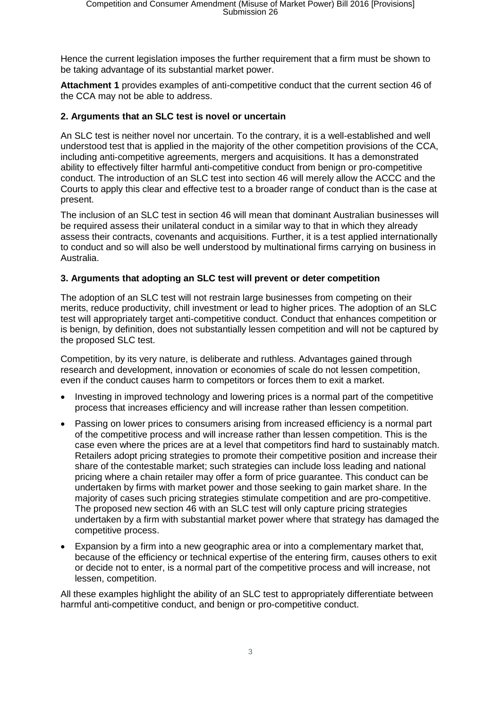Hence the current legislation imposes the further requirement that a firm must be shown to be taking advantage of its substantial market power.

**Attachment 1** provides examples of anti-competitive conduct that the current section 46 of the CCA may not be able to address.

## **2. Arguments that an SLC test is novel or uncertain**

An SLC test is neither novel nor uncertain. To the contrary, it is a well-established and well understood test that is applied in the majority of the other competition provisions of the CCA, including anti-competitive agreements, mergers and acquisitions. It has a demonstrated ability to effectively filter harmful anti-competitive conduct from benign or pro-competitive conduct. The introduction of an SLC test into section 46 will merely allow the ACCC and the Courts to apply this clear and effective test to a broader range of conduct than is the case at present.

The inclusion of an SLC test in section 46 will mean that dominant Australian businesses will be required assess their unilateral conduct in a similar way to that in which they already assess their contracts, covenants and acquisitions. Further, it is a test applied internationally to conduct and so will also be well understood by multinational firms carrying on business in Australia.

## **3. Arguments that adopting an SLC test will prevent or deter competition**

The adoption of an SLC test will not restrain large businesses from competing on their merits, reduce productivity, chill investment or lead to higher prices. The adoption of an SLC test will appropriately target anti-competitive conduct. Conduct that enhances competition or is benign, by definition, does not substantially lessen competition and will not be captured by the proposed SLC test.

Competition, by its very nature, is deliberate and ruthless. Advantages gained through research and development, innovation or economies of scale do not lessen competition, even if the conduct causes harm to competitors or forces them to exit a market.

- Investing in improved technology and lowering prices is a normal part of the competitive process that increases efficiency and will increase rather than lessen competition.
- Passing on lower prices to consumers arising from increased efficiency is a normal part of the competitive process and will increase rather than lessen competition. This is the case even where the prices are at a level that competitors find hard to sustainably match. Retailers adopt pricing strategies to promote their competitive position and increase their share of the contestable market; such strategies can include loss leading and national pricing where a chain retailer may offer a form of price guarantee. This conduct can be undertaken by firms with market power and those seeking to gain market share. In the majority of cases such pricing strategies stimulate competition and are pro-competitive. The proposed new section 46 with an SLC test will only capture pricing strategies undertaken by a firm with substantial market power where that strategy has damaged the competitive process.
- Expansion by a firm into a new geographic area or into a complementary market that, because of the efficiency or technical expertise of the entering firm, causes others to exit or decide not to enter, is a normal part of the competitive process and will increase, not lessen, competition.

All these examples highlight the ability of an SLC test to appropriately differentiate between harmful anti-competitive conduct, and benign or pro-competitive conduct.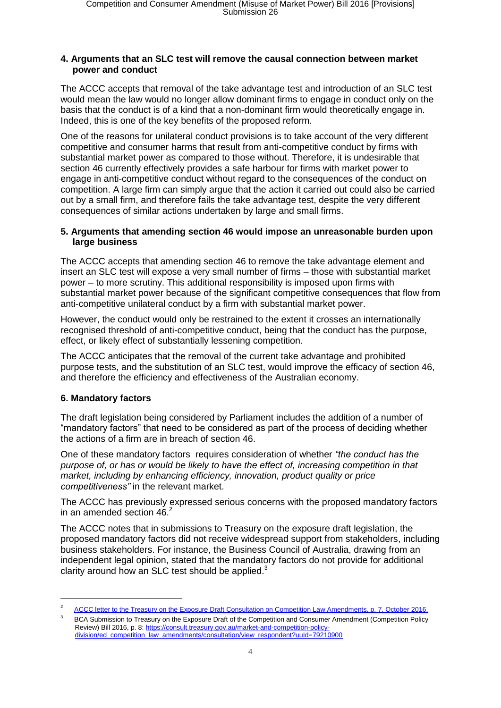#### **4. Arguments that an SLC test will remove the causal connection between market power and conduct**

The ACCC accepts that removal of the take advantage test and introduction of an SLC test would mean the law would no longer allow dominant firms to engage in conduct only on the basis that the conduct is of a kind that a non-dominant firm would theoretically engage in. Indeed, this is one of the key benefits of the proposed reform.

One of the reasons for unilateral conduct provisions is to take account of the very different competitive and consumer harms that result from anti-competitive conduct by firms with substantial market power as compared to those without. Therefore, it is undesirable that section 46 currently effectively provides a safe harbour for firms with market power to engage in anti-competitive conduct without regard to the consequences of the conduct on competition. A large firm can simply argue that the action it carried out could also be carried out by a small firm, and therefore fails the take advantage test, despite the very different consequences of similar actions undertaken by large and small firms.

#### **5. Arguments that amending section 46 would impose an unreasonable burden upon large business**

The ACCC accepts that amending section 46 to remove the take advantage element and insert an SLC test will expose a very small number of firms – those with substantial market power – to more scrutiny. This additional responsibility is imposed upon firms with substantial market power because of the significant competitive consequences that flow from anti-competitive unilateral conduct by a firm with substantial market power.

However, the conduct would only be restrained to the extent it crosses an internationally recognised threshold of anti-competitive conduct, being that the conduct has the purpose, effect, or likely effect of substantially lessening competition.

The ACCC anticipates that the removal of the current take advantage and prohibited purpose tests, and the substitution of an SLC test, would improve the efficacy of section 46, and therefore the efficiency and effectiveness of the Australian economy.

## **6. Mandatory factors**

-

The draft legislation being considered by Parliament includes the addition of a number of "mandatory factors" that need to be considered as part of the process of deciding whether the actions of a firm are in breach of section 46.

One of these mandatory factors requires consideration of whether *"the conduct has the purpose of, or has or would be likely to have the effect of, increasing competition in that market, including by enhancing efficiency, innovation, product quality or price competitiveness"* in the relevant market.

The ACCC has previously expressed serious concerns with the proposed mandatory factors in an amended section  $46<sup>2</sup>$ 

The ACCC notes that in submissions to Treasury on the exposure draft legislation, the proposed mandatory factors did not receive widespread support from stakeholders, including business stakeholders. For instance, the Business Council of Australia, drawing from an independent legal opinion, stated that the mandatory factors do not provide for additional clarity around how an SLC test should be applied. $3$ 

<sup>2</sup> [ACCC letter to the Treasury on the Exposure Draft Consultation on Competition Law Amendments, p. 7, October](http://www.accc.gov.au/system/files/ACCC%20Letter%20to%20Treasury%20-%20Submission%20on%20Harper%20Exposure%20Draft%20legis....pdf) 2016.

 $\overline{2}$  BCA Submission to Treasury on the Exposure Draft of the Competition and Consumer Amendment (Competition Policy Review) Bill 2016, p. 8: [https://consult.treasury.gov.au/market-and-competition-policy](https://consult.treasury.gov.au/market-and-competition-policy-division/ed_competition_law_amendments/consultation/view_respondent?uuId=79210900)[division/ed\\_competition\\_law\\_amendments/consultation/view\\_respondent?uuId=79210900](https://consult.treasury.gov.au/market-and-competition-policy-division/ed_competition_law_amendments/consultation/view_respondent?uuId=79210900)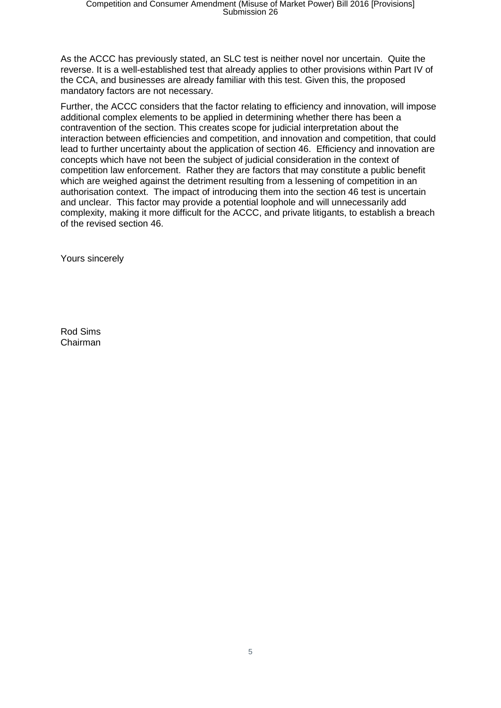As the ACCC has previously stated, an SLC test is neither novel nor uncertain. Quite the reverse. It is a well-established test that already applies to other provisions within Part IV of the CCA, and businesses are already familiar with this test. Given this, the proposed mandatory factors are not necessary.

Further, the ACCC considers that the factor relating to efficiency and innovation, will impose additional complex elements to be applied in determining whether there has been a contravention of the section. This creates scope for judicial interpretation about the interaction between efficiencies and competition, and innovation and competition, that could lead to further uncertainty about the application of section 46. Efficiency and innovation are concepts which have not been the subject of judicial consideration in the context of competition law enforcement. Rather they are factors that may constitute a public benefit which are weighed against the detriment resulting from a lessening of competition in an authorisation context. The impact of introducing them into the section 46 test is uncertain and unclear. This factor may provide a potential loophole and will unnecessarily add complexity, making it more difficult for the ACCC, and private litigants, to establish a breach of the revised section 46.

Yours sincerely

Rod Sims Chairman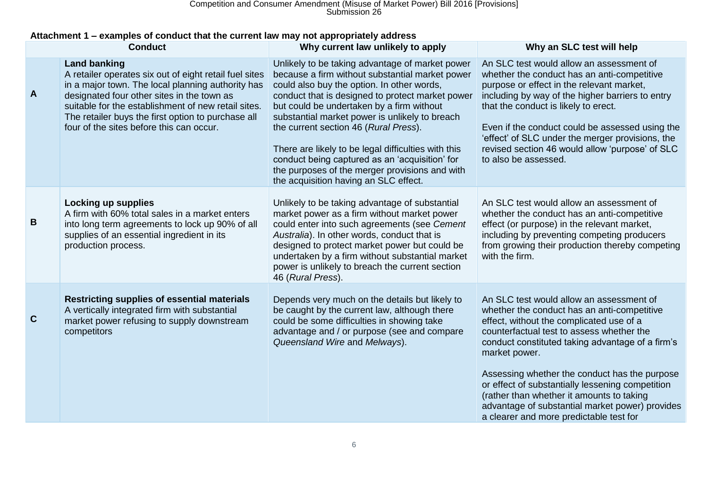Competition and Consumer Amendment (Misuse of Market Power) Bill 2016 [Provisions] Submission 26

## **Attachment 1 – examples of conduct that the current law may not appropriately address**

| <b>Conduct</b> |                                                                                                                                                                                                                                                                                                                                           | Why current law unlikely to apply                                                                                                                                                                                                                                                                                                                                                                                                                                                                                                                | Why an SLC test will help                                                                                                                                                                                                                                                                                                                                                                                                                                                                             |
|----------------|-------------------------------------------------------------------------------------------------------------------------------------------------------------------------------------------------------------------------------------------------------------------------------------------------------------------------------------------|--------------------------------------------------------------------------------------------------------------------------------------------------------------------------------------------------------------------------------------------------------------------------------------------------------------------------------------------------------------------------------------------------------------------------------------------------------------------------------------------------------------------------------------------------|-------------------------------------------------------------------------------------------------------------------------------------------------------------------------------------------------------------------------------------------------------------------------------------------------------------------------------------------------------------------------------------------------------------------------------------------------------------------------------------------------------|
| A              | <b>Land banking</b><br>A retailer operates six out of eight retail fuel sites<br>in a major town. The local planning authority has<br>designated four other sites in the town as<br>suitable for the establishment of new retail sites.<br>The retailer buys the first option to purchase all<br>four of the sites before this can occur. | Unlikely to be taking advantage of market power<br>because a firm without substantial market power<br>could also buy the option. In other words,<br>conduct that is designed to protect market power<br>but could be undertaken by a firm without<br>substantial market power is unlikely to breach<br>the current section 46 (Rural Press).<br>There are likely to be legal difficulties with this<br>conduct being captured as an 'acquisition' for<br>the purposes of the merger provisions and with<br>the acquisition having an SLC effect. | An SLC test would allow an assessment of<br>whether the conduct has an anti-competitive<br>purpose or effect in the relevant market,<br>including by way of the higher barriers to entry<br>that the conduct is likely to erect.<br>Even if the conduct could be assessed using the<br>'effect' of SLC under the merger provisions, the<br>revised section 46 would allow 'purpose' of SLC<br>to also be assessed.                                                                                    |
| B              | <b>Locking up supplies</b><br>A firm with 60% total sales in a market enters<br>into long term agreements to lock up 90% of all<br>supplies of an essential ingredient in its<br>production process.                                                                                                                                      | Unlikely to be taking advantage of substantial<br>market power as a firm without market power<br>could enter into such agreements (see Cement<br>Australia). In other words, conduct that is<br>designed to protect market power but could be<br>undertaken by a firm without substantial market<br>power is unlikely to breach the current section<br>46 (Rural Press).                                                                                                                                                                         | An SLC test would allow an assessment of<br>whether the conduct has an anti-competitive<br>effect (or purpose) in the relevant market,<br>including by preventing competing producers<br>from growing their production thereby competing<br>with the firm.                                                                                                                                                                                                                                            |
| $\mathbf{C}$   | Restricting supplies of essential materials<br>A vertically integrated firm with substantial<br>market power refusing to supply downstream<br>competitors                                                                                                                                                                                 | Depends very much on the details but likely to<br>be caught by the current law, although there<br>could be some difficulties in showing take<br>advantage and / or purpose (see and compare<br>Queensland Wire and Melways).                                                                                                                                                                                                                                                                                                                     | An SLC test would allow an assessment of<br>whether the conduct has an anti-competitive<br>effect, without the complicated use of a<br>counterfactual test to assess whether the<br>conduct constituted taking advantage of a firm's<br>market power.<br>Assessing whether the conduct has the purpose<br>or effect of substantially lessening competition<br>(rather than whether it amounts to taking<br>advantage of substantial market power) provides<br>a clearer and more predictable test for |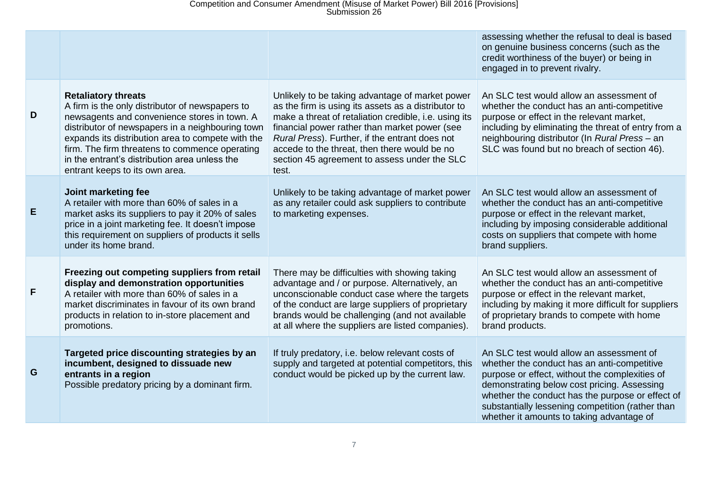# Competition and Consumer Amendment (Misuse of Market Power) Bill 2016 [Provisions] Submission 26

|   |                                                                                                                                                                                                                                                                                                                                                                             |                                                                                                                                                                                                                                                                                                                                                                             | assessing whether the refusal to deal is based<br>on genuine business concerns (such as the<br>credit worthiness of the buyer) or being in<br>engaged in to prevent rivalry.                                                                                                                                                                  |
|---|-----------------------------------------------------------------------------------------------------------------------------------------------------------------------------------------------------------------------------------------------------------------------------------------------------------------------------------------------------------------------------|-----------------------------------------------------------------------------------------------------------------------------------------------------------------------------------------------------------------------------------------------------------------------------------------------------------------------------------------------------------------------------|-----------------------------------------------------------------------------------------------------------------------------------------------------------------------------------------------------------------------------------------------------------------------------------------------------------------------------------------------|
| D | <b>Retaliatory threats</b><br>A firm is the only distributor of newspapers to<br>newsagents and convenience stores in town. A<br>distributor of newspapers in a neighbouring town<br>expands its distribution area to compete with the<br>firm. The firm threatens to commence operating<br>in the entrant's distribution area unless the<br>entrant keeps to its own area. | Unlikely to be taking advantage of market power<br>as the firm is using its assets as a distributor to<br>make a threat of retaliation credible, i.e. using its<br>financial power rather than market power (see<br>Rural Press). Further, if the entrant does not<br>accede to the threat, then there would be no<br>section 45 agreement to assess under the SLC<br>test. | An SLC test would allow an assessment of<br>whether the conduct has an anti-competitive<br>purpose or effect in the relevant market,<br>including by eliminating the threat of entry from a<br>neighbouring distributor (In Rural Press - an<br>SLC was found but no breach of section 46).                                                   |
| E | Joint marketing fee<br>A retailer with more than 60% of sales in a<br>market asks its suppliers to pay it 20% of sales<br>price in a joint marketing fee. It doesn't impose<br>this requirement on suppliers of products it sells<br>under its home brand.                                                                                                                  | Unlikely to be taking advantage of market power<br>as any retailer could ask suppliers to contribute<br>to marketing expenses.                                                                                                                                                                                                                                              | An SLC test would allow an assessment of<br>whether the conduct has an anti-competitive<br>purpose or effect in the relevant market,<br>including by imposing considerable additional<br>costs on suppliers that compete with home<br>brand suppliers.                                                                                        |
| F | Freezing out competing suppliers from retail<br>display and demonstration opportunities<br>A retailer with more than 60% of sales in a<br>market discriminates in favour of its own brand<br>products in relation to in-store placement and<br>promotions.                                                                                                                  | There may be difficulties with showing taking<br>advantage and / or purpose. Alternatively, an<br>unconscionable conduct case where the targets<br>of the conduct are large suppliers of proprietary<br>brands would be challenging (and not available<br>at all where the suppliers are listed companies).                                                                 | An SLC test would allow an assessment of<br>whether the conduct has an anti-competitive<br>purpose or effect in the relevant market,<br>including by making it more difficult for suppliers<br>of proprietary brands to compete with home<br>brand products.                                                                                  |
| G | Targeted price discounting strategies by an<br>incumbent, designed to dissuade new<br>entrants in a region<br>Possible predatory pricing by a dominant firm.                                                                                                                                                                                                                | If truly predatory, i.e. below relevant costs of<br>supply and targeted at potential competitors, this<br>conduct would be picked up by the current law.                                                                                                                                                                                                                    | An SLC test would allow an assessment of<br>whether the conduct has an anti-competitive<br>purpose or effect, without the complexities of<br>demonstrating below cost pricing. Assessing<br>whether the conduct has the purpose or effect of<br>substantially lessening competition (rather than<br>whether it amounts to taking advantage of |